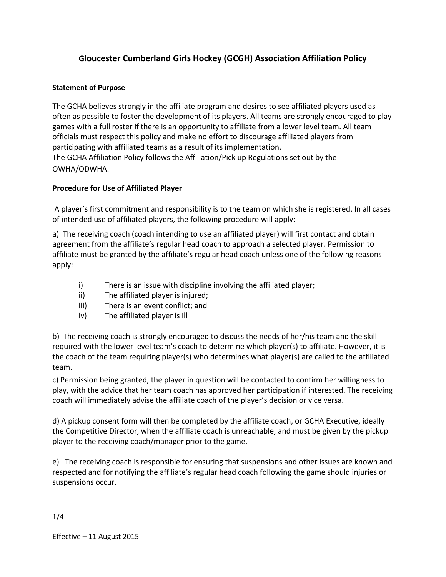# **Gloucester Cumberland Girls Hockey (GCGH) Association Affiliation Policy**

### **Statement of Purpose**

The GCHA believes strongly in the affiliate program and desires to see affiliated players used as often as possible to foster the development of its players. All teams are strongly encouraged to play games with a full roster if there is an opportunity to affiliate from a lower level team. All team officials must respect this policy and make no effort to discourage affiliated players from participating with affiliated teams as a result of its implementation. The GCHA Affiliation Policy follows the Affiliation/Pick up Regulations set out by the OWHA/ODWHA.

### **Procedure for Use of Affiliated Player**

A player's first commitment and responsibility is to the team on which she is registered. In all cases of intended use of affiliated players, the following procedure will apply:

a) The receiving coach (coach intending to use an affiliated player) will first contact and obtain agreement from the affiliate's regular head coach to approach a selected player. Permission to affiliate must be granted by the affiliate's regular head coach unless one of the following reasons apply:

- i) There is an issue with discipline involving the affiliated player;
- ii) The affiliated player is injured;
- iii) There is an event conflict; and
- iv) The affiliated player is ill

b) The receiving coach is strongly encouraged to discuss the needs of her/his team and the skill required with the lower level team's coach to determine which player(s) to affiliate. However, it is the coach of the team requiring player(s) who determines what player(s) are called to the affiliated team.

c) Permission being granted, the player in question will be contacted to confirm her willingness to play, with the advice that her team coach has approved her participation if interested. The receiving coach will immediately advise the affiliate coach of the player's decision or vice versa.

d) A pickup consent form will then be completed by the affiliate coach, or GCHA Executive, ideally the Competitive Director, when the affiliate coach is unreachable, and must be given by the pickup player to the receiving coach/manager prior to the game.

e) The receiving coach is responsible for ensuring that suspensions and other issues are known and respected and for notifying the affiliate's regular head coach following the game should injuries or suspensions occur.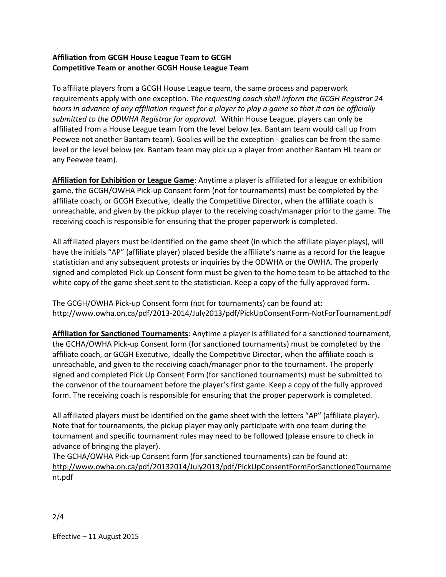# **Affiliation from GCGH House League Team to GCGH Competitive Team or another GCGH House League Team**

To affiliate players from a GCGH House League team, the same process and paperwork requirements apply with one exception. *The requesting coach shall inform the GCGH Registrar 24 hours in advance of any affiliation request for a player to play a game so that it can be officially submitted to the ODWHA Registrar for approval.* Within House League, players can only be affiliated from a House League team from the level below (ex. Bantam team would call up from Peewee not another Bantam team). Goalies will be the exception ‐ goalies can be from the same level or the level below (ex. Bantam team may pick up a player from another Bantam HL team or any Peewee team).

**Affiliation for Exhibition or League Game**: Anytime a player is affiliated for a league or exhibition game, the GCGH/OWHA Pick‐up Consent form (not for tournaments) must be completed by the affiliate coach, or GCGH Executive, ideally the Competitive Director, when the affiliate coach is unreachable, and given by the pickup player to the receiving coach/manager prior to the game. The receiving coach is responsible for ensuring that the proper paperwork is completed.

All affiliated players must be identified on the game sheet (in which the affiliate player plays), will have the initials "AP" (affiliate player) placed beside the affiliate's name as a record for the league statistician and any subsequent protests or inquiries by the ODWHA or the OWHA. The properly signed and completed Pick‐up Consent form must be given to the home team to be attached to the white copy of the game sheet sent to the statistician. Keep a copy of the fully approved form.

The GCGH/OWHA Pick‐up Consent form (not for tournaments) can be found at: http://www.owha.on.ca/pdf/2013‐2014/July2013/pdf/PickUpConsentForm‐NotForTournament.pdf

**Affiliation for Sanctioned Tournaments**: Anytime a player is affiliated for a sanctioned tournament, the GCHA/OWHA Pick‐up Consent form (for sanctioned tournaments) must be completed by the affiliate coach, or GCGH Executive, ideally the Competitive Director, when the affiliate coach is unreachable, and given to the receiving coach/manager prior to the tournament. The properly signed and completed Pick Up Consent Form (for sanctioned tournaments) must be submitted to the convenor of the tournament before the player's first game. Keep a copy of the fully approved form. The receiving coach is responsible for ensuring that the proper paperwork is completed.

All affiliated players must be identified on the game sheet with the letters "AP" (affiliate player). Note that for tournaments, the pickup player may only participate with one team during the tournament and specific tournament rules may need to be followed (please ensure to check in advance of bringing the player).

The GCHA/OWHA Pick-up Consent form (for sanctioned tournaments) can be found at: http://www.owha.on.ca/pdf/20132014/July2013/pdf/PickUpConsentFormForSanctionedTourname nt.pdf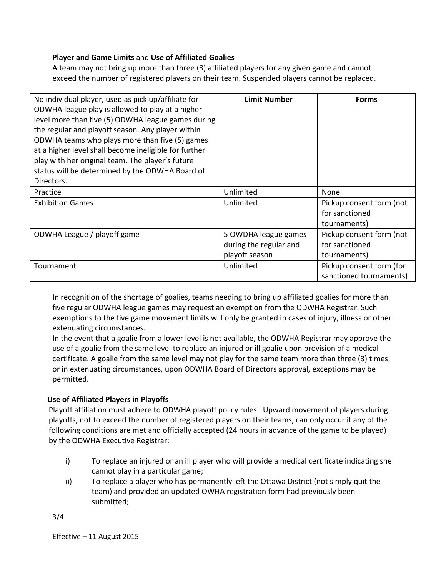# **Player and Game Limits** and **Use of Affiliated Goalies**

A team may not bring up more than three (3) affiliated players for any given game and cannot exceed the number of registered players on their team. Suspended players cannot be replaced.

| No individual player, used as pick up/affiliate for   | <b>Limit Number</b>    | <b>Forms</b>             |
|-------------------------------------------------------|------------------------|--------------------------|
| ODWHA league play is allowed to play at a higher      |                        |                          |
| level more than five (5) ODWHA league games during    |                        |                          |
| the regular and playoff season. Any player within     |                        |                          |
| ODWHA teams who plays more than five (5) games        |                        |                          |
| at a higher level shall become ineligible for further |                        |                          |
| play with her original team. The player's future      |                        |                          |
| status will be determined by the ODWHA Board of       |                        |                          |
| Directors.                                            |                        |                          |
| Practice                                              | Unlimited              | None                     |
| <b>Exhibition Games</b>                               | Unlimited              | Pickup consent form (not |
|                                                       |                        | for sanctioned           |
|                                                       |                        | tournaments)             |
| ODWHA League / playoff game                           | 5 OWDHA league games   | Pickup consent form (not |
|                                                       | during the regular and | for sanctioned           |
|                                                       | playoff season         | tournaments)             |
| Tournament                                            | Unlimited              | Pickup consent form (for |
|                                                       |                        | sanctioned tournaments)  |

In recognition of the shortage of goalies, teams needing to bring up affiliated goalies for more than five regular ODWHA league games may request an exemption from the ODWHA Registrar. Such exemptions to the five game movement limits will only be granted in cases of injury, illness or other extenuating circumstances.

In the event that a goalie from a lower level is not available, the ODWHA Registrar may approve the use of a goalie from the same level to replace an injured or ill goalie upon provision of a medical certificate. A goalie from the same level may not play for the same team more than three (3) times, or in extenuating circumstances, upon ODWHA Board of Directors approval, exceptions may be permitted.

### **Use of Affiliated Players in Playoffs**

Playoff affiliation must adhere to ODWHA playoff policy rules. Upward movement of players during playoffs, not to exceed the number of registered players on their teams, can only occur if any of the following conditions are met and officially accepted (24 hours in advance of the game to be played) by the ODWHA Executive Registrar:

- i) To replace an injured or an ill player who will provide a medical certificate indicating she cannot play in a particular game;
- ii) To replace a player who has permanently left the Ottawa District (not simply quit the team) and provided an updated OWHA registration form had previously been submitted;

3/4